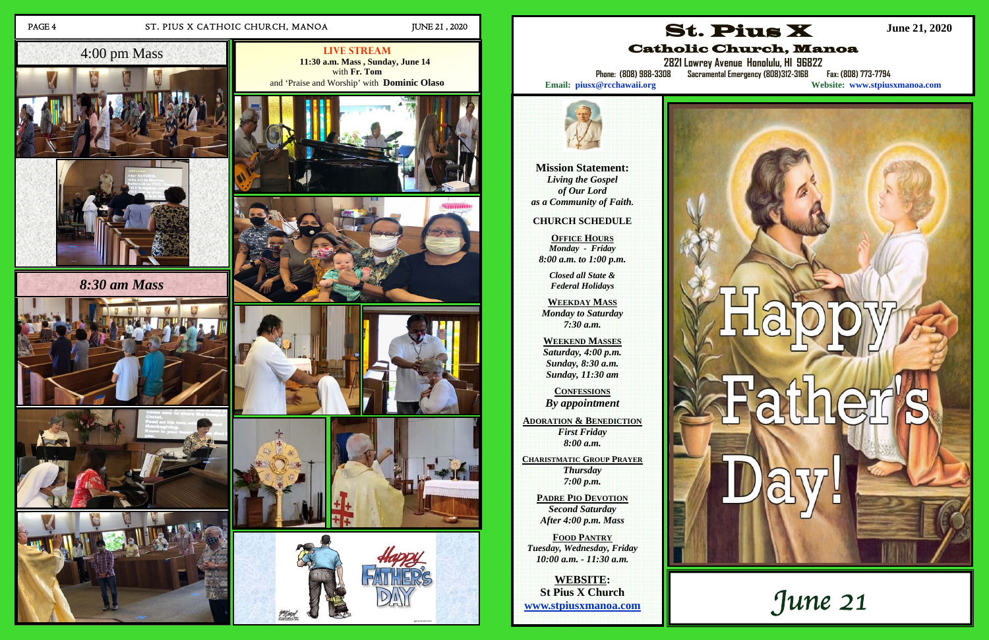## PAGE 4 ST. PIUS X CATHOIC CHURCH, MANOA JUNE 21, 2020

**Live Stream 11:30 a.m. Mass , Sunday, June 14**  with **Fr. Tom**  and 'Praise and Worship' with **Dominic Olaso**











# *8:30 am Mass*







# 4:00 pm Mass



**Mission Statement:**  *Living the Gospel of Our Lord as a Community of Faith.* 

#### **CHURCH SCHEDULE**

**OFFICE HOURS***Monday - Friday 8:00 a.m. to 1:00 p.m.* 

> *Closed all State & Federal Holidays*

**WEEKDAY MASS**  *Monday to Saturday 7:30 a.m.* 

**WEEKEND MASSES**  *Saturday, 4:00 p.m. Sunday, 8:30 a.m. Sunday, 11:30 am* 

**CONFESSIONS***By appointment* 

**ADORATION & BENEDICTION** *First Friday 8:00 a.m.* 

**CHARISTMATIC GROUP PRAYER** *Thursday 7:00 p.m.* 

**PADRE PIO DEVOTION** *Second Saturday After 4:00 p.m. Mass* 

**FOOD PANTRY** *Tuesday, Wednesday, Friday 10:00 a.m. - 11:30 a.m.* 

**WEBSITE: St Pius X Church www.stpiusxmanoa.com** 





Catholic Church, Manoa

**2821 Lowrey Avenue Honolulu, HI 96822** 

**Phone: (808) 988-3308 Sacramental Emergency (808)312-3168 Fax: (808) 773-7794** 

**Email: piusx@rcchawaii.org Website: www.stpiusxmanoa.com**

**June 21, 2020**